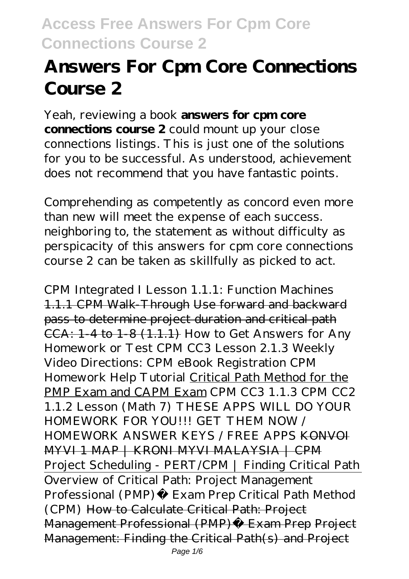# **Answers For Cpm Core Connections Course 2**

Yeah, reviewing a book **answers for cpm core connections course 2** could mount up your close connections listings. This is just one of the solutions for you to be successful. As understood, achievement does not recommend that you have fantastic points.

Comprehending as competently as concord even more than new will meet the expense of each success. neighboring to, the statement as without difficulty as perspicacity of this answers for cpm core connections course 2 can be taken as skillfully as picked to act.

CPM Integrated I Lesson 1.1.1: Function Machines 1.1.1 CPM Walk-Through Use forward and backward pass to determine project duration and critical path CCA: 1-4 to 1-8 (1.1.1) *How to Get Answers for Any Homework or Test CPM CC3 Lesson 2.1.3 Weekly Video Directions: CPM eBook Registration* CPM Homework Help Tutorial Critical Path Method for the PMP Exam and CAPM Exam *CPM CC3 1.1.3 CPM CC2 1.1.2 Lesson (Math 7)* THESE APPS WILL DO YOUR HOMEWORK FOR YOU!!! GET THEM NOW / HOMEWORK ANSWER KEYS / FREE APPS KONVOI MYVI 1 MAP | KRONI MYVI MALAYSIA | CPM Project Scheduling - PERT/CPM | Finding Critical Path Overview of Critical Path: Project Management Professional (PMP)® Exam Prep Critical Path Method (CPM) How to Calculate Critical Path: Project Management Professional (PMP)® Exam Prep Project Management: Finding the Critical Path(s) and Project Page 1/6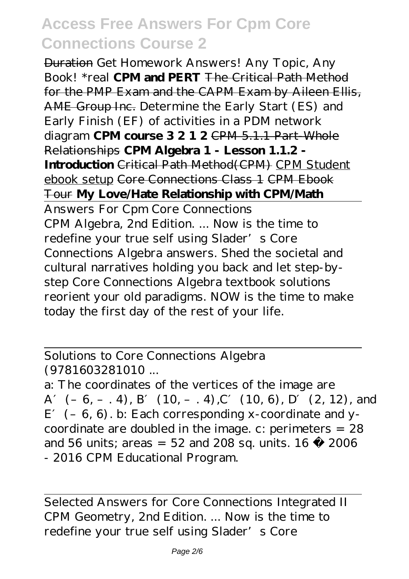Duration Get Homework Answers! Any Topic, Any Book! \*real **CPM and PERT** The Critical Path Method for the PMP Exam and the CAPM Exam by Aileen Ellis, AME Group Inc. *Determine the Early Start (ES) and Early Finish (EF) of activities in a PDM network diagram* **CPM course 3 2 1 2** CPM 5.1.1 Part-Whole Relationships **CPM Algebra 1 - Lesson 1.1.2 - Introduction** Critical Path Method(CPM) CPM Student ebook setup Core Connections Class 1 CPM Ebook Tour **My Love/Hate Relationship with CPM/Math** Answers For Cpm Core Connections CPM Algebra, 2nd Edition. ... Now is the time to redefine your true self using Slader's Core Connections Algebra answers. Shed the societal and cultural narratives holding you back and let step-bystep Core Connections Algebra textbook solutions reorient your old paradigms. NOW is the time to make today the first day of the rest of your life.

Solutions to Core Connections Algebra (9781603281010 ...

a: The coordinates of the vertices of the image are A  $(-6, -4)$ , B  $(10, -4)$ , C  $(10, 6)$ , D  $(2, 12)$ , and  $E$  (– 6, 6). b: Each corresponding x-coordinate and ycoordinate are doubled in the image. c: perimeters = 28 and 56 units; areas =  $52$  and 208 sq. units.  $16 \text{ }^{\circ}$  2006 - 2016 CPM Educational Program.

Selected Answers for Core Connections Integrated II CPM Geometry, 2nd Edition. ... Now is the time to redefine your true self using Slader's Core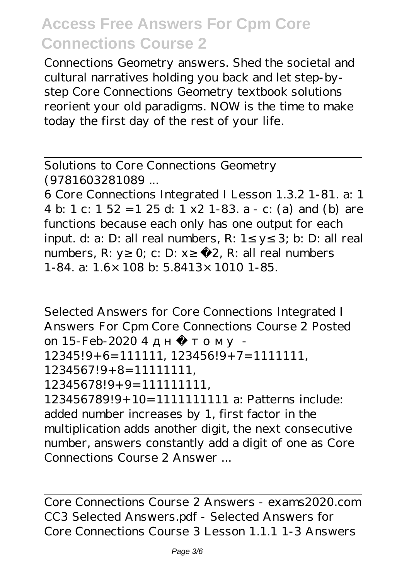Connections Geometry answers. Shed the societal and cultural narratives holding you back and let step-bystep Core Connections Geometry textbook solutions reorient your old paradigms. NOW is the time to make today the first day of the rest of your life.

Solutions to Core Connections Geometry (9781603281089 ...

6 Core Connections Integrated I Lesson 1.3.2 1-81. a: 1 4 b: 1 c: 1 52 =1 25 d: 1 x2 1-83. a - c: (a) and (b) are functions because each only has one output for each input. d: a: D: all real numbers, R:  $1 \times 3$ ; b: D: all real numbers, R: y 0; c: D:  $x - 2$ , R: all real numbers 1-84. a: 1.6×108 b: 5.8413×1010 1-85.

Selected Answers for Core Connections Integrated I Answers For Cpm Core Connections Course 2 Posted on  $15-Feh-20204$ 

12345!9+6=111111, 123456!9+7=1111111,

1234567!9+8=11111111,

12345678!9+9=111111111,

123456789!9+10=1111111111 a: Patterns include: added number increases by 1, first factor in the multiplication adds another digit, the next consecutive number, answers constantly add a digit of one as Core Connections Course 2 Answer ...

Core Connections Course 2 Answers - exams2020.com CC3 Selected Answers.pdf - Selected Answers for Core Connections Course 3 Lesson 1.1.1 1-3 Answers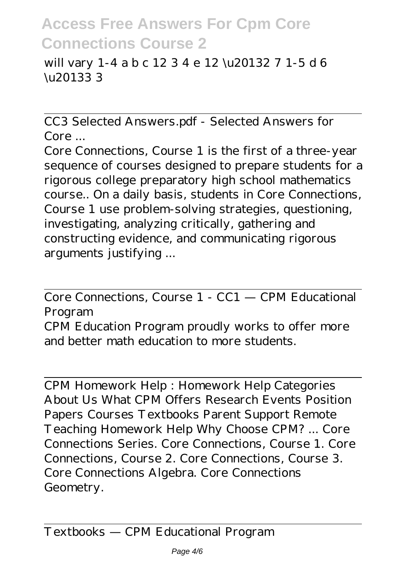will vary 1-4 a b c 12 3 4 e 12 \u20132 7 1-5 d 6 \u20133 3

CC3 Selected Answers.pdf - Selected Answers for Core ...

Core Connections, Course 1 is the first of a three-year sequence of courses designed to prepare students for a rigorous college preparatory high school mathematics course.. On a daily basis, students in Core Connections, Course 1 use problem-solving strategies, questioning, investigating, analyzing critically, gathering and constructing evidence, and communicating rigorous arguments justifying ...

Core Connections, Course 1 - CC1 — CPM Educational Program

CPM Education Program proudly works to offer more and better math education to more students.

CPM Homework Help : Homework Help Categories About Us What CPM Offers Research Events Position Papers Courses Textbooks Parent Support Remote Teaching Homework Help Why Choose CPM? ... Core Connections Series. Core Connections, Course 1. Core Connections, Course 2. Core Connections, Course 3. Core Connections Algebra. Core Connections Geometry.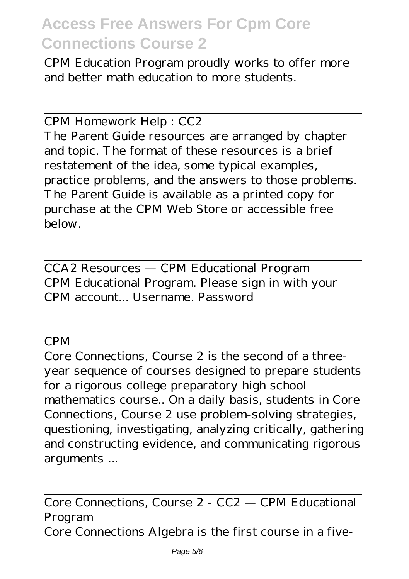CPM Education Program proudly works to offer more and better math education to more students.

CPM Homework Help : CC2

The Parent Guide resources are arranged by chapter and topic. The format of these resources is a brief restatement of the idea, some typical examples, practice problems, and the answers to those problems. The Parent Guide is available as a printed copy for purchase at the CPM Web Store or accessible free below.

CCA2 Resources — CPM Educational Program CPM Educational Program. Please sign in with your CPM account... Username. Password

CPM

Core Connections, Course 2 is the second of a threeyear sequence of courses designed to prepare students for a rigorous college preparatory high school mathematics course.. On a daily basis, students in Core Connections, Course 2 use problem-solving strategies, questioning, investigating, analyzing critically, gathering and constructing evidence, and communicating rigorous arguments ...

Core Connections, Course 2 - CC2 — CPM Educational Program Core Connections Algebra is the first course in a five-